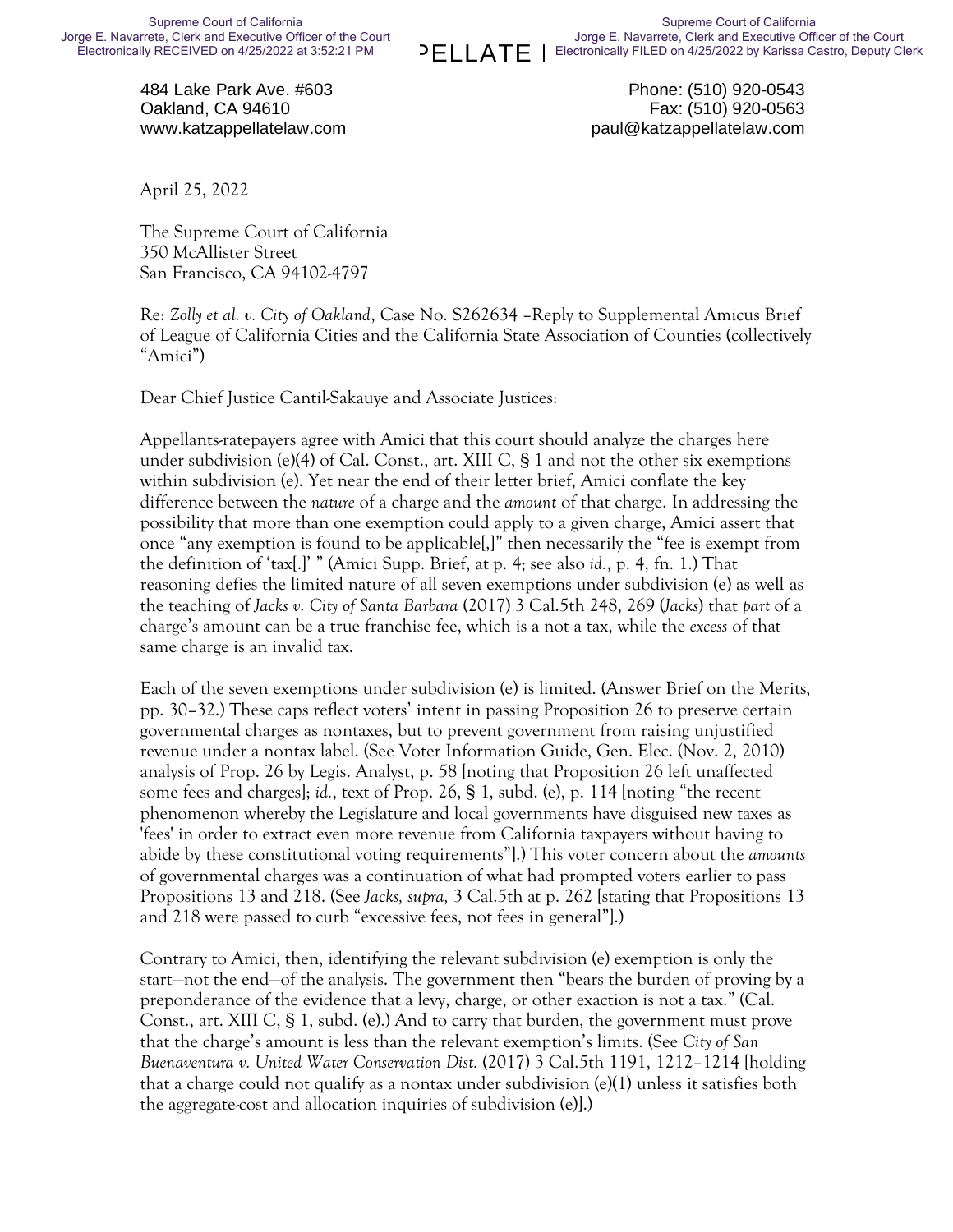484 Lake Park Ave. #603 Oakland, CA 94610 www.katzappellatelaw.com

Phone: (510) 920-0543 Fax: (510) 920-0563 paul@katzappellatelaw.com

April 25, 2022

The Supreme Court of California 350 McAllister Street San Francisco, CA 94102-4797

Re: *Zolly et al. v. City of Oakland*, Case No. S262634 –Reply to Supplemental Amicus Brief of League of California Cities and the California State Association of Counties (collectively "Amici")

Dear Chief Justice Cantil-Sakauye and Associate Justices:

Appellants-ratepayers agree with Amici that this court should analyze the charges here under subdivision (e)(4) of Cal. Const., art. XIII C, § 1 and not the other six exemptions within subdivision (e). Yet near the end of their letter brief, Amici conflate the key difference between the *nature* of a charge and the *amount* of that charge. In addressing the possibility that more than one exemption could apply to a given charge, Amici assert that once "any exemption is found to be applicable[,]" then necessarily the "fee is exempt from the definition of 'tax[.]' " (Amici Supp. Brief, at p. 4; see also *id.*, p. 4, fn. 1.) That reasoning defies the limited nature of all seven exemptions under subdivision (e) as well as the teaching of *Jacks v. City of Santa Barbara* (2017) 3 Cal.5th 248, 269 (*Jacks*) that *part* of a charge's amount can be a true franchise fee, which is a not a tax, while the *excess* of that same charge is an invalid tax.

Each of the seven exemptions under subdivision (e) is limited. (Answer Brief on the Merits, pp. 30–32.) These caps reflect voters' intent in passing Proposition 26 to preserve certain governmental charges as nontaxes, but to prevent government from raising unjustified revenue under a nontax label. (See Voter Information Guide, Gen. Elec. (Nov. 2, 2010) analysis of Prop. 26 by Legis. Analyst, p. 58 [noting that Proposition 26 left unaffected some fees and charges]; *id.*, text of Prop. 26, § 1, subd. (e), p. 114 [noting "the recent phenomenon whereby the Legislature and local governments have disguised new taxes as 'fees' in order to extract even more revenue from California taxpayers without having to abide by these constitutional voting requirements"].) This voter concern about the *amounts* of governmental charges was a continuation of what had prompted voters earlier to pass Propositions 13 and 218. (See *Jacks, supra,* 3 Cal.5th at p. 262 [stating that Propositions 13 and 218 were passed to curb "excessive fees, not fees in general"].)

Contrary to Amici, then, identifying the relevant subdivision (e) exemption is only the start—not the end—of the analysis. The government then "bears the burden of proving by a preponderance of the evidence that a levy, charge, or other exaction is not a tax." (Cal. Const., art. XIII C, § 1, subd. (e).) And to carry that burden, the government must prove that the charge's amount is less than the relevant exemption's limits. (See *City of San Buenaventura v. United Water Conservation Dist.* (2017) 3 Cal.5th 1191, 1212–1214 [holding that a charge could not qualify as a nontax under subdivision (e)(1) unless it satisfies both the aggregate-cost and allocation inquiries of subdivision (e)].)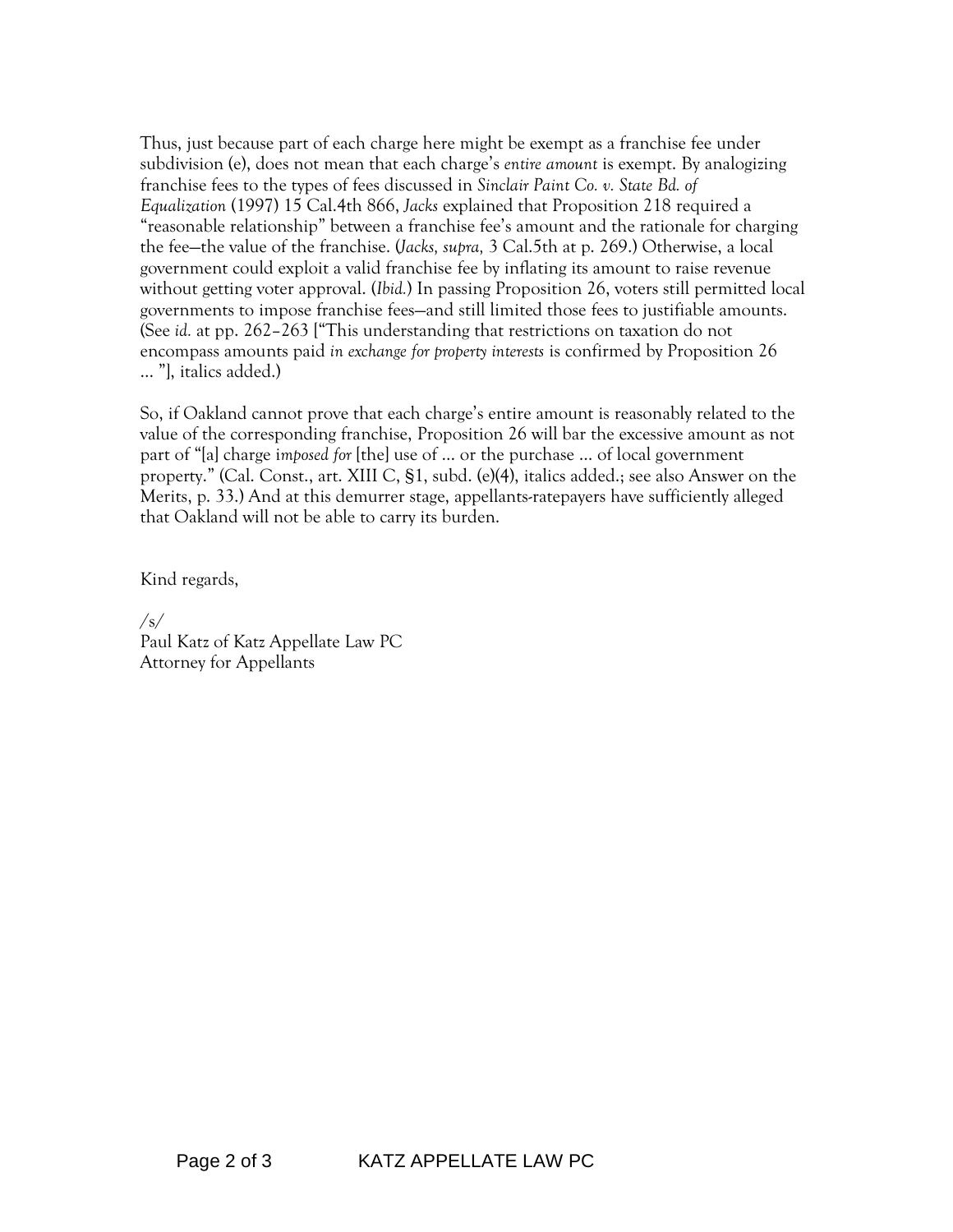Thus, just because part of each charge here might be exempt as a franchise fee under subdivision (e), does not mean that each charge's *entire amount* is exempt. By analogizing franchise fees to the types of fees discussed in *Sinclair Paint Co. v. State Bd. of Equalization* (1997) 15 Cal.4th 866, *Jacks* explained that Proposition 218 required a "reasonable relationship" between a franchise fee's amount and the rationale for charging the fee—the value of the franchise. (*Jacks, supra,* 3 Cal.5th at p. 269.) Otherwise, a local government could exploit a valid franchise fee by inflating its amount to raise revenue without getting voter approval. (*Ibid.*) In passing Proposition 26, voters still permitted local governments to impose franchise fees—and still limited those fees to justifiable amounts. (See *id.* at pp. 262–263 ["This understanding that restrictions on taxation do not encompass amounts paid *in exchange for property interests* is confirmed by Proposition 26 … "], italics added.)

So, if Oakland cannot prove that each charge's entire amount is reasonably related to the value of the corresponding franchise, Proposition 26 will bar the excessive amount as not part of "[a] charge i*mposed for* [the] use of … or the purchase … of local government property." (Cal. Const., art. XIII C, §1, subd. (e)(4), italics added.; see also Answer on the Merits, p. 33.) And at this demurrer stage, appellants-ratepayers have sufficiently alleged that Oakland will not be able to carry its burden.

Kind regards,

/s/ Paul Katz of Katz Appellate Law PC Attorney for Appellants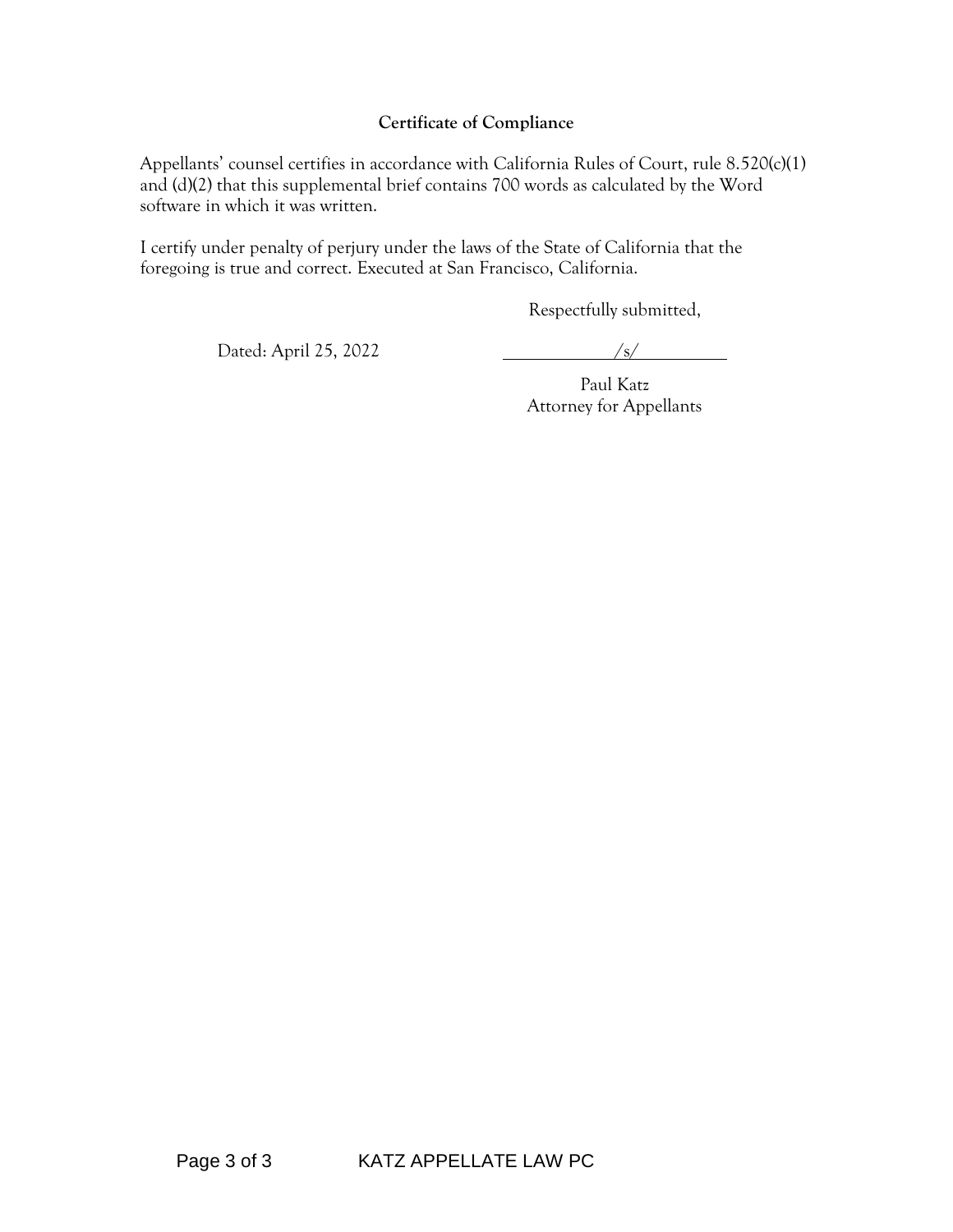## **Certificate of Compliance**

Appellants' counsel certifies in accordance with California Rules of Court, rule 8.520(c)(1) and (d)(2) that this supplemental brief contains 700 words as calculated by the Word software in which it was written.

I certify under penalty of perjury under the laws of the State of California that the foregoing is true and correct. Executed at San Francisco, California.

Respectfully submitted,

Dated: April 25, 2022 /s/

Paul Katz Attorney for Appellants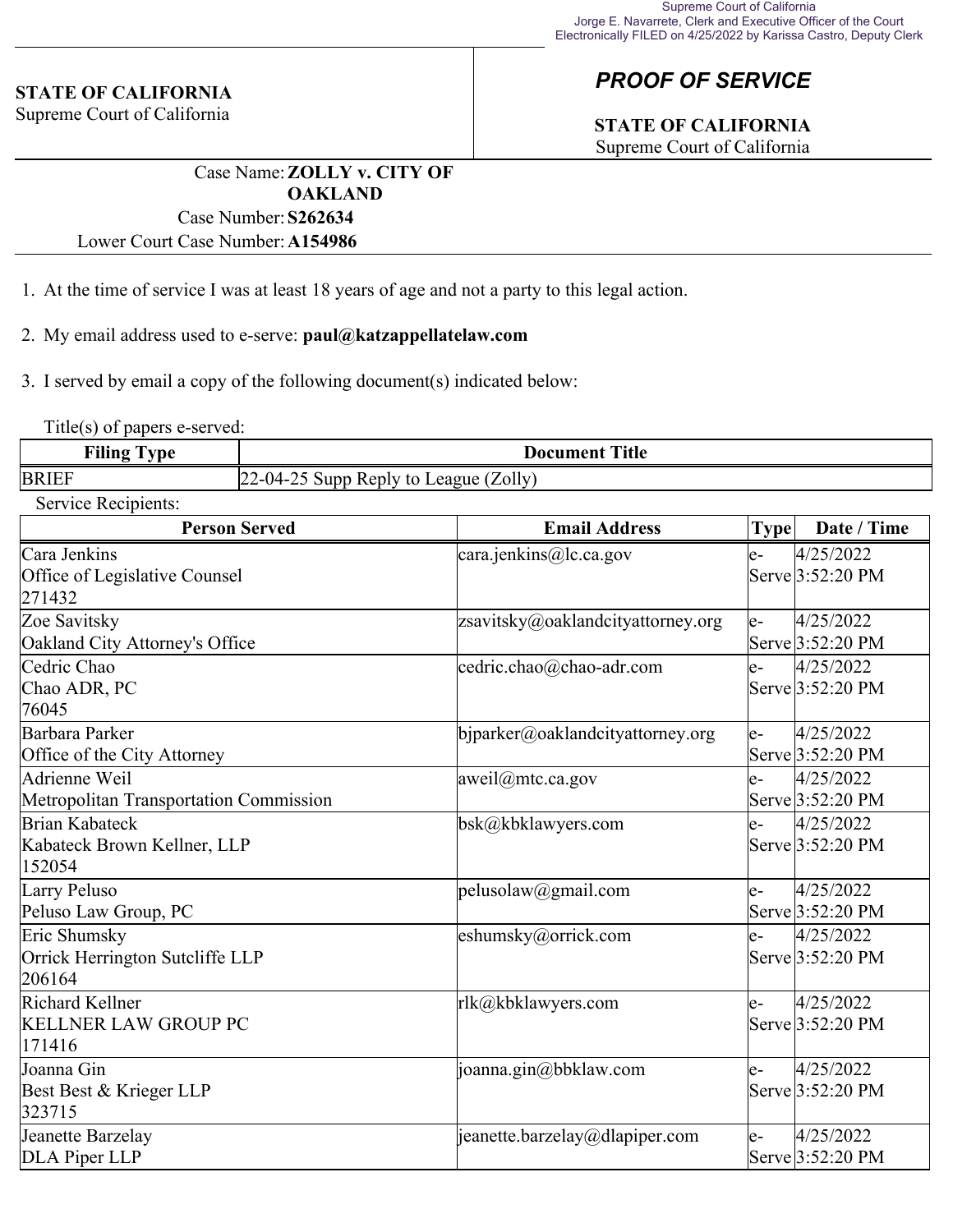## **STATE OF CALIFORNIA**

Supreme Court of California

## *PROOF OF SERVICE*

## **STATE OF CALIFORNIA**

Supreme Court of California

Case Name:**ZOLLY v. CITY OF OAKLAND** Case Number:**S262634**

Lower Court Case Number:**A154986**

- 1. At the time of service I was at least 18 years of age and not a party to this legal action.
- 2. My email address used to e-serve: **paul@katzappellatelaw.com**

3. I served by email a copy of the following document(s) indicated below:

Title(s) of papers e-served:

| <b>Filing</b> | <b>Title</b>                                             |  |
|---------------|----------------------------------------------------------|--|
| vpe           | Document                                                 |  |
| <b>BRIEF</b>  | Zolly)<br>$122 - 04 - 2$<br>Supp<br>Reply to I<br>League |  |

Service Recipients:

| <b>Person Served</b>                                      | <b>Email Address</b>               | <b>Type</b> | Date / Time                   |
|-----------------------------------------------------------|------------------------------------|-------------|-------------------------------|
| Cara Jenkins<br>Office of Legislative Counsel<br>271432   | cara.jenkins@lc.ca.gov             | $e-$        | 4/25/2022<br>Serve 3:52:20 PM |
| Zoe Savitsky<br>Oakland City Attorney's Office            | zsavitsky@oaklandcityattorney.org  | $e-$        | 4/25/2022<br>Serve 3:52:20 PM |
| Cedric Chao<br>Chao ADR, PC<br>76045                      | cedric.chao@chao-adr.com           | $e-$        | 4/25/2022<br>Serve 3:52:20 PM |
| Barbara Parker<br>Office of the City Attorney             | bjparker@oaklandcityattorney.org   | $e-$        | 4/25/2022<br>Serve 3:52:20 PM |
| Adrienne Weil<br>Metropolitan Transportation Commission   | $aweil@$ mtc.ca.gov                | $e-$        | 4/25/2022<br>Serve 3:52:20 PM |
| Brian Kabateck<br>Kabateck Brown Kellner, LLP<br>152054   | bsk@kbklawyers.com                 | $e-$        | 4/25/2022<br>Serve 3:52:20 PM |
| Larry Peluso<br>Peluso Law Group, PC                      | pelusolaw@gmail.com                | $e-$        | 4/25/2022<br>Serve 3:52:20 PM |
| Eric Shumsky<br>Orrick Herrington Sutcliffe LLP<br>206164 | eshumsky@orrick.com                | e-          | 4/25/2022<br>Serve 3:52:20 PM |
| Richard Kellner<br><b>KELLNER LAW GROUP PC</b><br>171416  | rlk@kbklawyers.com                 | $e-$        | 4/25/2022<br>Serve 3:52:20 PM |
| Joanna Gin<br>Best Best & Krieger LLP<br>323715           | joanna.gin@bbklaw.com              | $e-$        | 4/25/2022<br>Serve 3:52:20 PM |
| Jeanette Barzelay<br>DLA Piper LLP                        | $ $ jeanette.barzelay@dlapiper.com | $e-$        | 4/25/2022<br>Serve 3:52:20 PM |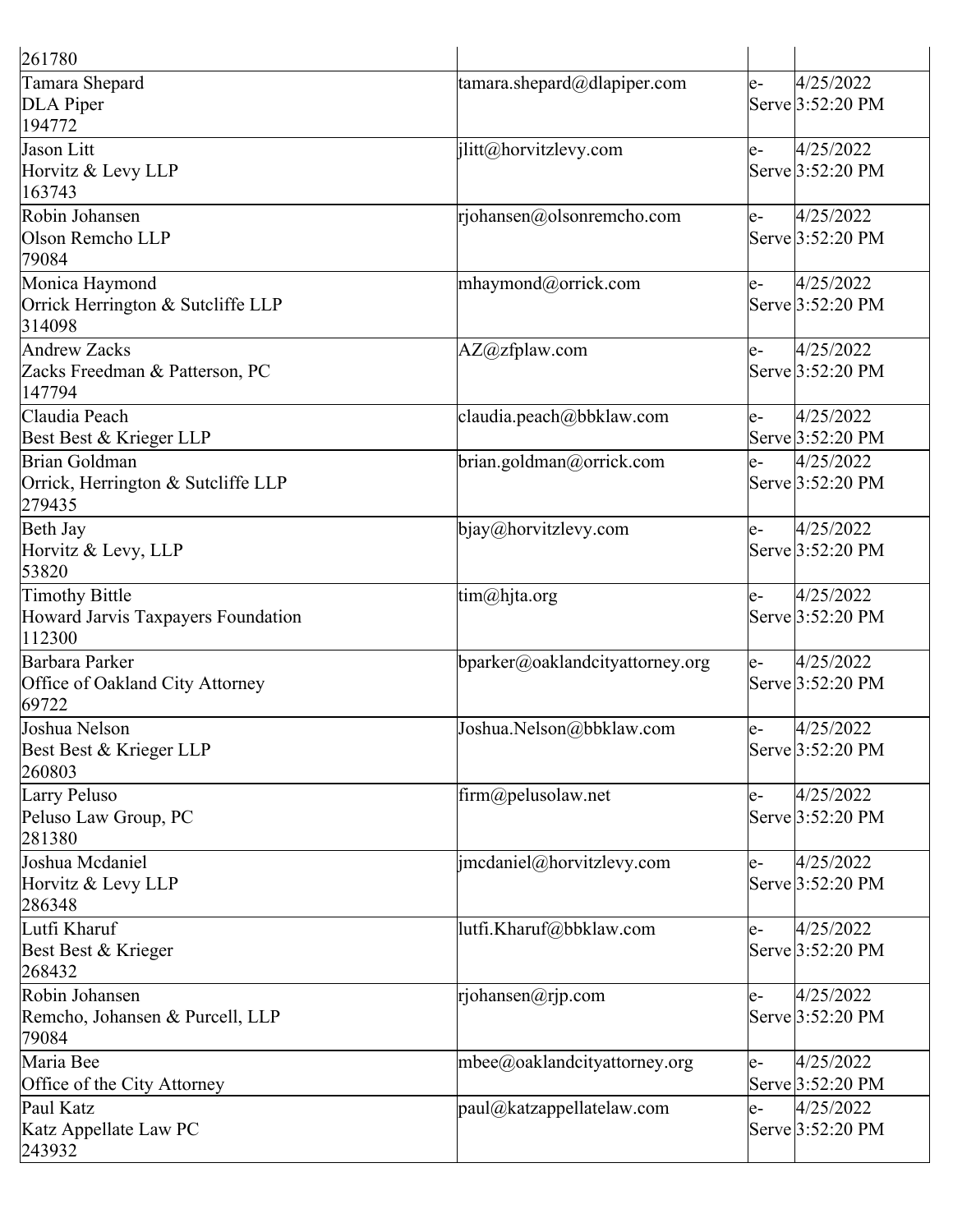| 261780                                                         |                                 |      |                               |
|----------------------------------------------------------------|---------------------------------|------|-------------------------------|
| Tamara Shepard<br>DLA Piper<br>194772                          | tamara.shepard@dlapiper.com     | e-   | 4/25/2022<br>Serve 3:52:20 PM |
| Jason Litt<br>Horvitz & Levy LLP<br>163743                     | jlitt@horvitzlevy.com           | e-   | 4/25/2022<br>Serve 3:52:20 PM |
| Robin Johansen<br>Olson Remcho LLP<br>79084                    | $r$ johansen@olsonremcho.com    | $e-$ | 4/25/2022<br>Serve 3:52:20 PM |
| Monica Haymond<br>Orrick Herrington & Sutcliffe LLP<br>314098  | mhaymond@orrick.com             | $e-$ | 4/25/2022<br>Serve 3:52:20 PM |
| Andrew Zacks<br>Zacks Freedman & Patterson, PC<br>147794       | $AZ@zf$ plaw.com                | $e-$ | 4/25/2022<br>Serve 3:52:20 PM |
| Claudia Peach<br>Best Best & Krieger LLP                       | claudia.peach@bbklaw.com        | $e-$ | 4/25/2022<br>Serve 3:52:20 PM |
| Brian Goldman<br>Orrick, Herrington & Sutcliffe LLP<br>279435  | brian.goldman@orrick.com        | $e-$ | 4/25/2022<br>Serve 3:52:20 PM |
| Beth Jay<br>Horvitz & Levy, LLP<br>53820                       | bjay@horvitzlevy.com            | e-   | 4/25/2022<br>Serve 3:52:20 PM |
| Timothy Bittle<br>Howard Jarvis Taxpayers Foundation<br>112300 | tim@hjta.org                    | le-  | 4/25/2022<br>Serve 3:52:20 PM |
| Barbara Parker<br>Office of Oakland City Attorney<br>69722     | bparker@oaklandcityattorney.org | e-   | 4/25/2022<br>Serve 3:52:20 PM |
| Joshua Nelson<br>Best Best & Krieger LLP<br>260803             | Joshua.Nelson@bbklaw.com        | $e-$ | 4/25/2022<br>Serve 3:52:20 PM |
| Larry Peluso<br>Peluso Law Group, PC<br>281380                 | $\lim(\omega)$ pelusolaw.net    | e-   | 4/25/2022<br>Serve 3:52:20 PM |
| Joshua Mcdaniel<br>Horvitz & Levy LLP<br>286348                | jmcdaniel@horvitzlevy.com       | e-   | 4/25/2022<br>Serve 3:52:20 PM |
| Lutfi Kharuf<br>Best Best & Krieger<br>268432                  | lutfi.Kharuf@bbklaw.com         | $e-$ | 4/25/2022<br>Serve 3:52:20 PM |
| Robin Johansen<br>Remcho, Johansen & Purcell, LLP<br>79084     | rjohansen@rjp.com               | $e-$ | 4/25/2022<br>Serve 3:52:20 PM |
| Maria Bee<br>Office of the City Attorney                       | mbee@oaklandcityattorney.org    | $e-$ | 4/25/2022<br>Serve 3:52:20 PM |
| Paul Katz<br>Katz Appellate Law PC<br>243932                   | paul@katzappellatelaw.com       | e-   | 4/25/2022<br>Serve 3:52:20 PM |